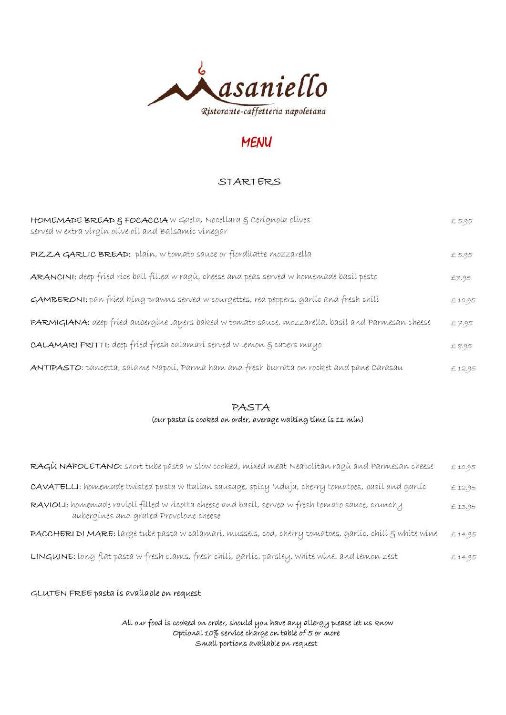

# MENU

### STARTERS

| HOMEMADE BREAD & FOCACCIA W Gaeta, Nocellara & Cerígnola olíves<br>served w extra virgin olive oil and Balsamic vinegar | £ 5.95 |
|-------------------------------------------------------------------------------------------------------------------------|--------|
| PIZZA GARLIC BREAD: plaín, w tomato sauce or fiordilatte mozzarella                                                     | £5.95  |
| ARANCINI: deep fried rice ball filled w ragù, cheese and peas served w homemade basil pesto                             | £7.95  |
| GAMBERONI: pan fried king prawns served w courgettes, red peppers, garlic and fresh chili                               | £10.95 |
| PARMIGIANA: deep fríed aubergine layers baked w tomato sauce, mozzarella, basíl and Parmesan cheese                     | £7.95  |
| <b>CALAMARI FRITTI:</b> deep fried fresh calamari served w lemon g capers mayo                                          | £ 8.95 |
| ANTIPASTO: pancetta, salame Napolí, Parma ham and fresh burrata on rocket and pane Carasau                              | £12.95 |

### PASTA

## (our pasta is cooked on order, average waiting time is 11 min)

| RAGÙ NAPOLETANO: short tube pasta w slow cooked, mixed meat Neapolitan ragù and Parmesan cheese                                             | £10.95 |
|---------------------------------------------------------------------------------------------------------------------------------------------|--------|
| CAVATELLI: homemade twísted pasta w Italían sausage, spícy 'nduja, cherry tomatoes, basíl and garlíc                                        | £12.95 |
| RAVIOLI: homemade ravioli filled w ricotta cheese and basil, served w fresh tomato sauce, crunchy<br>aubergines and grated Provolone cheese | £13.95 |
| PACCHERI DI MARE: large tube pasta w calamarí, mussels, cod, cherry tomatoes, garlíc, chílí & whíte wine                                    | £14.95 |
| LINGUINE: long flat pasta w fresh clams, fresh chili, garlic, parsley, white wine, and lemon zest                                           | £14.95 |

#### GLUTEN FREE pasta is available on request

 All our food is cooked on order, should you have any allergy please let us know Optional 10% service charge on table of 5 or more Small portions available on request